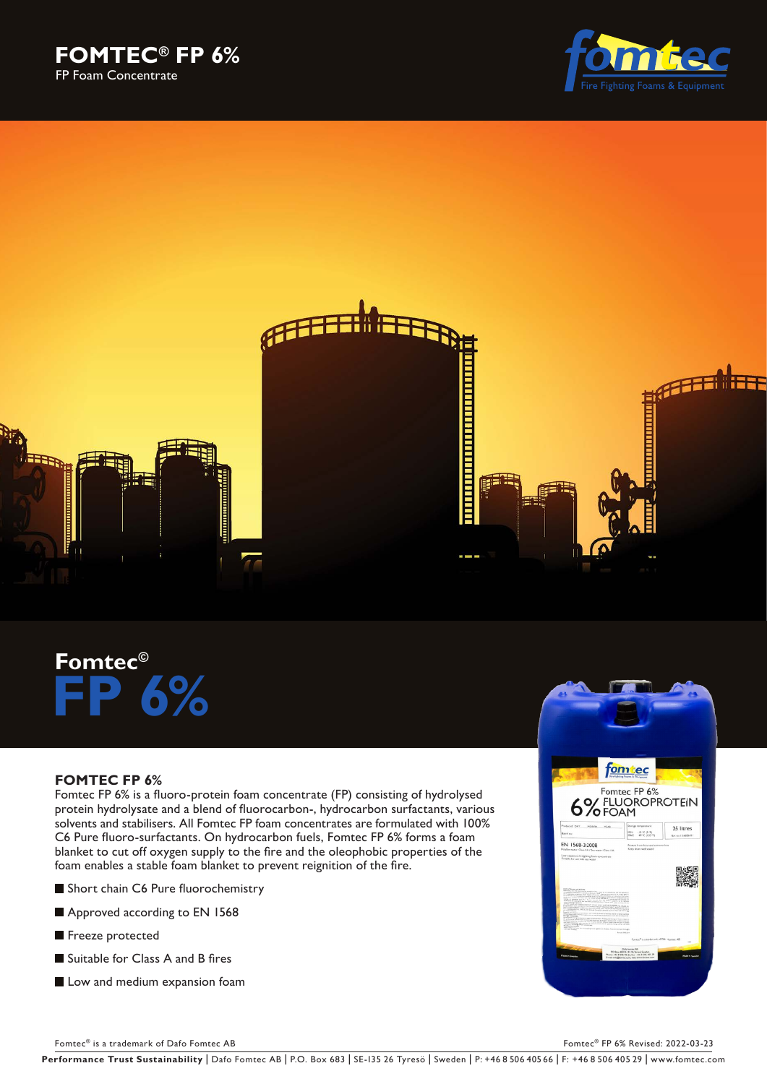





# **Fomtec© FP 6%**

# **FOMTEC FP 6%**

Fomtec FP 6% is a fluoro-protein foam concentrate (FP) consisting of hydrolysed protein hydrolysate and a blend of fluorocarbon-, hydrocarbon surfactants, various solvents and stabilisers. All Fomtec FP foam concentrates are formulated with 100% C6 Pure fluoro-surfactants. On hydrocarbon fuels, Fomtec FP 6% forms a foam blanket to cut off oxygen supply to the fire and the oleophobic properties of the foam enables a stable foam blanket to prevent reignition of the fire.

- Short chain C6 Pure fluorochemistry
- Approved according to EN 1568
- Freeze protected
- Suitable for Class A and B fires
- **Low and medium expansion foam**



Fomtec® is a trademark of Dafo Fomtec AB Fomtec® FP 6% Revised: 2022-03-23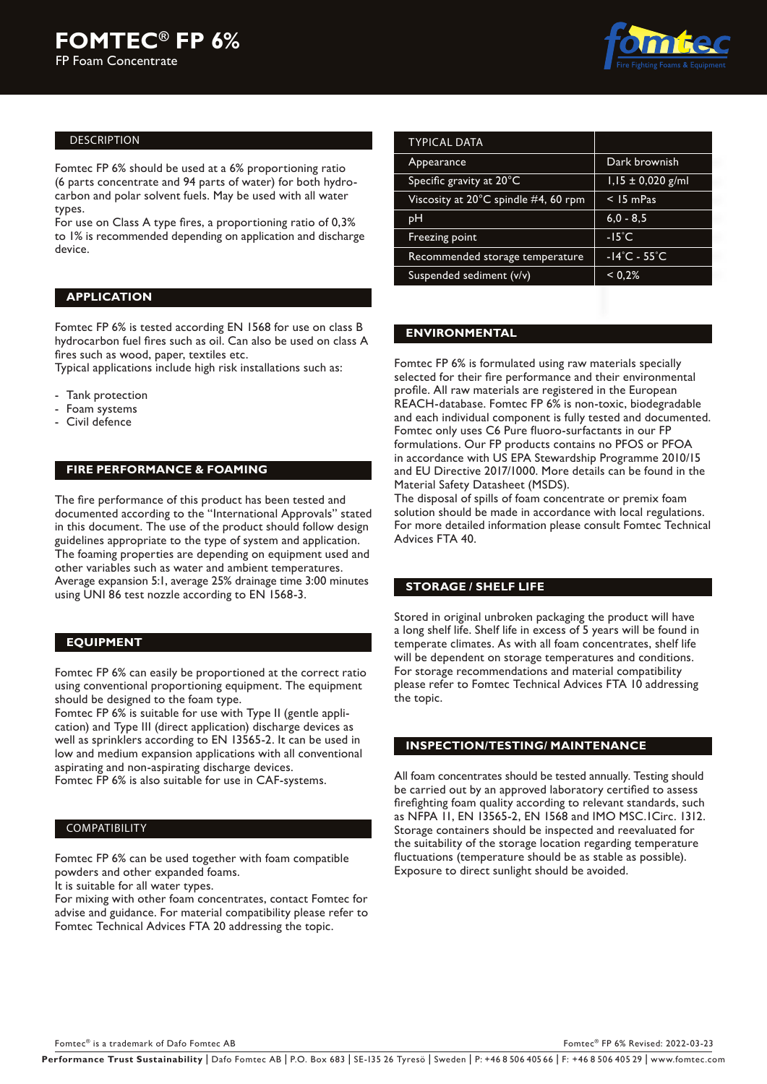

## DESCRIPTION

Fomtec FP 6% should be used at a 6% proportioning ratio (6 parts concentrate and 94 parts of water) for both hydrocarbon and polar solvent fuels. May be used with all water types.

For use on Class A type fires, a proportioning ratio of 0,3% to 1% is recommended depending on application and discharge device.

### **APPLICATION**

Fomtec FP 6% is tested according EN 1568 for use on class B hydrocarbon fuel fires such as oil. Can also be used on class A fires such as wood, paper, textiles etc.

Typical applications include high risk installations such as:

- Tank protection
- Foam systems
- Civil defence

## **FIRE PERFORMANCE & FOAMING**

The fire performance of this product has been tested and documented according to the "International Approvals" stated in this document. The use of the product should follow design guidelines appropriate to the type of system and application. The foaming properties are depending on equipment used and other variables such as water and ambient temperatures. Average expansion 5:1, average 25% drainage time 3:00 minutes using UNI 86 test nozzle according to EN 1568-3.

#### **EQUIPMENT**

Fomtec FP 6% can easily be proportioned at the correct ratio using conventional proportioning equipment. The equipment should be designed to the foam type.

Fomtec FP 6% is suitable for use with Type II (gentle application) and Type III (direct application) discharge devices as well as sprinklers according to EN 13565-2. It can be used in low and medium expansion applications with all conventional aspirating and non-aspirating discharge devices.

Fomtec FP 6% is also suitable for use in CAF-systems.

#### COMPATIBILITY

Fomtec FP 6% can be used together with foam compatible powders and other expanded foams.

It is suitable for all water types.

For mixing with other foam concentrates, contact Fomtec for advise and guidance. For material compatibility please refer to Fomtec Technical Advices FTA 20 addressing the topic.

| Dark brownish                     |
|-----------------------------------|
| $1,15 \pm 0,020$ g/ml             |
| $<$ 15 mPas                       |
| $6,0 - 8,5$                       |
| $-15^{\circ}$ C                   |
| $-14^{\circ}$ C - 55 $^{\circ}$ C |
| < 0.2%                            |
|                                   |

## **ENVIRONMENTAL**

Fomtec FP 6% is formulated using raw materials specially selected for their fire performance and their environmental profile. All raw materials are registered in the European REACH-database. Fomtec FP 6% is non-toxic, biodegradable and each individual component is fully tested and documented. Fomtec only uses C6 Pure fluoro-surfactants in our FP formulations. Our FP products contains no PFOS or PFOA in accordance with US EPA Stewardship Programme 2010/15 and EU Directive 2017/1000. More details can be found in the Material Safety Datasheet (MSDS).

The disposal of spills of foam concentrate or premix foam solution should be made in accordance with local regulations. For more detailed information please consult Fomtec Technical Advices FTA 40.

## **STORAGE / SHELF LIFE**

Stored in original unbroken packaging the product will have a long shelf life. Shelf life in excess of 5 years will be found in temperate climates. As with all foam concentrates, shelf life will be dependent on storage temperatures and conditions. For storage recommendations and material compatibility please refer to Fomtec Technical Advices FTA 10 addressing the topic.

#### **INSPECTION/TESTING/ MAINTENANCE**

All foam concentrates should be tested annually. Testing should be carried out by an approved laboratory certified to assess firefighting foam quality according to relevant standards, such as NFPA 11, EN 13565-2, EN 1568 and IMO MSC.1Circ. 1312. Storage containers should be inspected and reevaluated for the suitability of the storage location regarding temperature fluctuations (temperature should be as stable as possible). Exposure to direct sunlight should be avoided.

Fomtec® is a trademark of Dafo Fomtec AB Fomtec<sup>®</sup> FP 6% Revised: 2022-03-23

Performance Trust Sustainability | Dafo Fomtec AB | P.O. Box 683 | SE-135 26 Tyresö | Sweden | P: +46 8 506 405 66 | F: +46 8 506 405 29 | www.fomtec.com